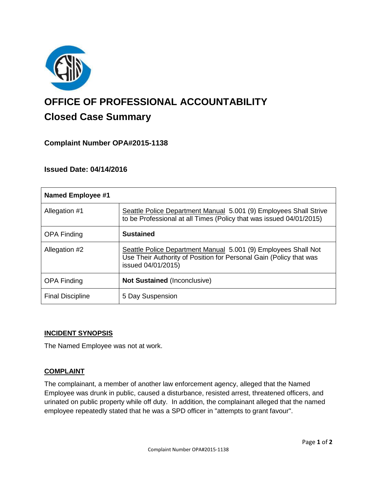

# **OFFICE OF PROFESSIONAL ACCOUNTABILITY Closed Case Summary**

## **Complaint Number OPA#2015-1138**

## **Issued Date: 04/14/2016**

| <b>Named Employee #1</b> |                                                                                                                                                            |
|--------------------------|------------------------------------------------------------------------------------------------------------------------------------------------------------|
| Allegation #1            | Seattle Police Department Manual 5.001 (9) Employees Shall Strive<br>to be Professional at all Times (Policy that was issued 04/01/2015)                   |
| <b>OPA Finding</b>       | <b>Sustained</b>                                                                                                                                           |
| Allegation #2            | Seattle Police Department Manual 5.001 (9) Employees Shall Not<br>Use Their Authority of Position for Personal Gain (Policy that was<br>issued 04/01/2015) |
| <b>OPA Finding</b>       | <b>Not Sustained (Inconclusive)</b>                                                                                                                        |
| <b>Final Discipline</b>  | 5 Day Suspension                                                                                                                                           |

## **INCIDENT SYNOPSIS**

The Named Employee was not at work.

#### **COMPLAINT**

The complainant, a member of another law enforcement agency, alleged that the Named Employee was drunk in public, caused a disturbance, resisted arrest, threatened officers, and urinated on public property while off duty. In addition, the complainant alleged that the named employee repeatedly stated that he was a SPD officer in "attempts to grant favour".